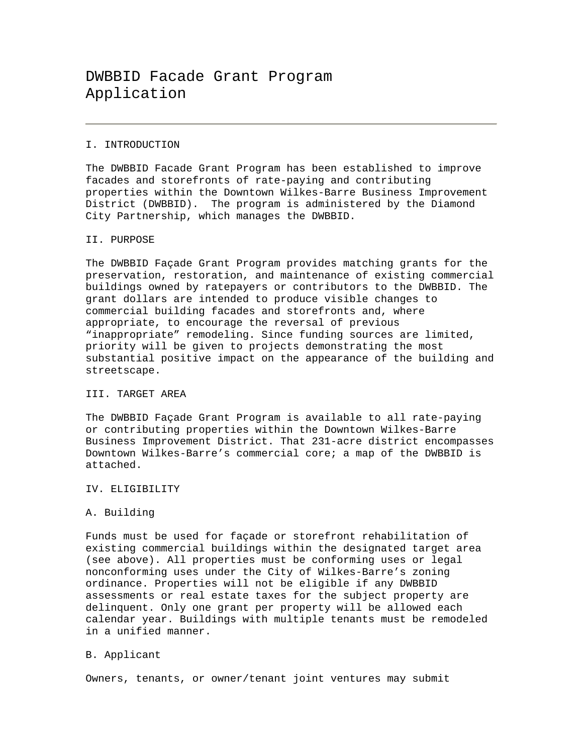### I. INTRODUCTION

The DWBBID Facade Grant Program has been established to improve facades and storefronts of rate-paying and contributing properties within the Downtown Wilkes-Barre Business Improvement District (DWBBID). The program is administered by the Diamond City Partnership, which manages the DWBBID.

# II. PURPOSE

The DWBBID Façade Grant Program provides matching grants for the preservation, restoration, and maintenance of existing commercial buildings owned by ratepayers or contributors to the DWBBID. The grant dollars are intended to produce visible changes to commercial building facades and storefronts and, where appropriate, to encourage the reversal of previous "inappropriate" remodeling. Since funding sources are limited, priority will be given to projects demonstrating the most substantial positive impact on the appearance of the building and streetscape.

#### III. TARGET AREA

The DWBBID Façade Grant Program is available to all rate-paying or contributing properties within the Downtown Wilkes-Barre Business Improvement District. That 231-acre district encompasses Downtown Wilkes-Barre's commercial core; a map of the DWBBID is attached.

### IV. ELIGIBILITY

# A. Building

Funds must be used for façade or storefront rehabilitation of existing commercial buildings within the designated target area (see above). All properties must be conforming uses or legal nonconforming uses under the City of Wilkes-Barre's zoning ordinance. Properties will not be eligible if any DWBBID assessments or real estate taxes for the subject property are delinquent. Only one grant per property will be allowed each calendar year. Buildings with multiple tenants must be remodeled in a unified manner.

### B. Applicant

Owners, tenants, or owner/tenant joint ventures may submit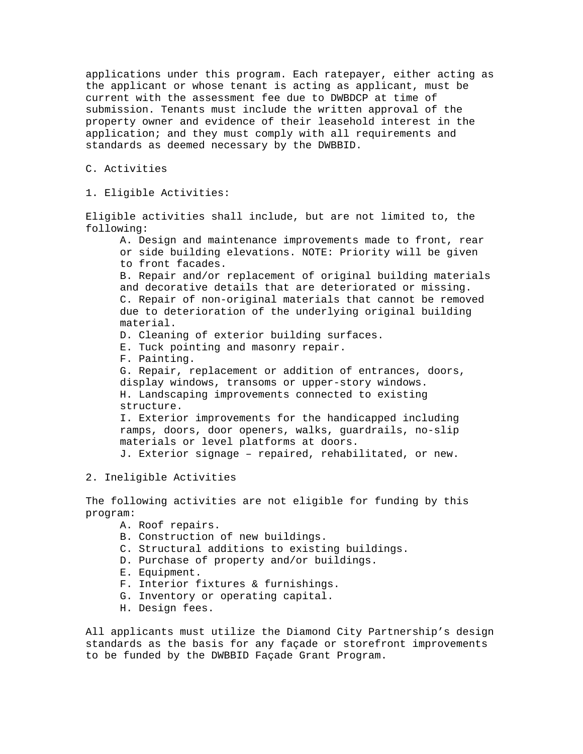applications under this program. Each ratepayer, either acting as the applicant or whose tenant is acting as applicant, must be current with the assessment fee due to DWBDCP at time of submission. Tenants must include the written approval of the property owner and evidence of their leasehold interest in the application; and they must comply with all requirements and standards as deemed necessary by the DWBBID.

C. Activities

1. Eligible Activities:

Eligible activities shall include, but are not limited to, the following:

A. Design and maintenance improvements made to front, rear or side building elevations. NOTE: Priority will be given to front facades.

B. Repair and/or replacement of original building materials and decorative details that are deteriorated or missing. C. Repair of non-original materials that cannot be removed due to deterioration of the underlying original building material.

D. Cleaning of exterior building surfaces.

E. Tuck pointing and masonry repair.

F. Painting.

G. Repair, replacement or addition of entrances, doors, display windows, transoms or upper-story windows. H. Landscaping improvements connected to existing structure. I. Exterior improvements for the handicapped including ramps, doors, door openers, walks, guardrails, no-slip materials or level platforms at doors.

J. Exterior signage – repaired, rehabilitated, or new.

# 2. Ineligible Activities

The following activities are not eligible for funding by this program:

- A. Roof repairs.
- B. Construction of new buildings.
- C. Structural additions to existing buildings.
- D. Purchase of property and/or buildings.
- E. Equipment.
- F. Interior fixtures & furnishings.
- G. Inventory or operating capital.
- H. Design fees.

All applicants must utilize the Diamond City Partnership's design standards as the basis for any façade or storefront improvements to be funded by the DWBBID Façade Grant Program.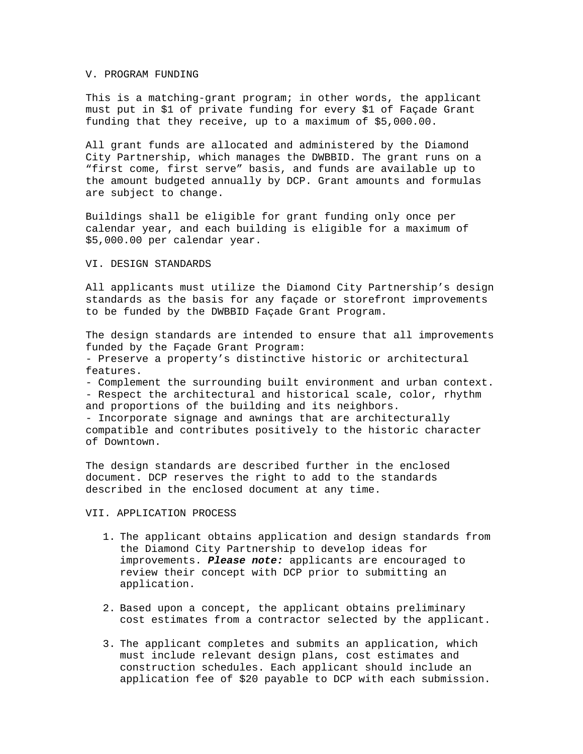#### V. PROGRAM FUNDING

This is a matching-grant program; in other words, the applicant must put in \$1 of private funding for every \$1 of Façade Grant funding that they receive, up to a maximum of \$5,000.00.

All grant funds are allocated and administered by the Diamond City Partnership, which manages the DWBBID. The grant runs on a "first come, first serve" basis, and funds are available up to the amount budgeted annually by DCP. Grant amounts and formulas are subject to change.

Buildings shall be eligible for grant funding only once per calendar year, and each building is eligible for a maximum of \$5,000.00 per calendar year.

#### VI. DESIGN STANDARDS

All applicants must utilize the Diamond City Partnership's design standards as the basis for any façade or storefront improvements to be funded by the DWBBID Façade Grant Program.

The design standards are intended to ensure that all improvements funded by the Façade Grant Program: - Preserve a property's distinctive historic or architectural features.

- Complement the surrounding built environment and urban context. - Respect the architectural and historical scale, color, rhythm and proportions of the building and its neighbors.

- Incorporate signage and awnings that are architecturally compatible and contributes positively to the historic character of Downtown.

The design standards are described further in the enclosed document. DCP reserves the right to add to the standards described in the enclosed document at any time.

### VII. APPLICATION PROCESS

- 1. The applicant obtains application and design standards from the Diamond City Partnership to develop ideas for improvements. *Please note:* applicants are encouraged to review their concept with DCP prior to submitting an application.
- 2. Based upon a concept, the applicant obtains preliminary cost estimates from a contractor selected by the applicant.
- 3. The applicant completes and submits an application, which must include relevant design plans, cost estimates and construction schedules. Each applicant should include an application fee of \$20 payable to DCP with each submission.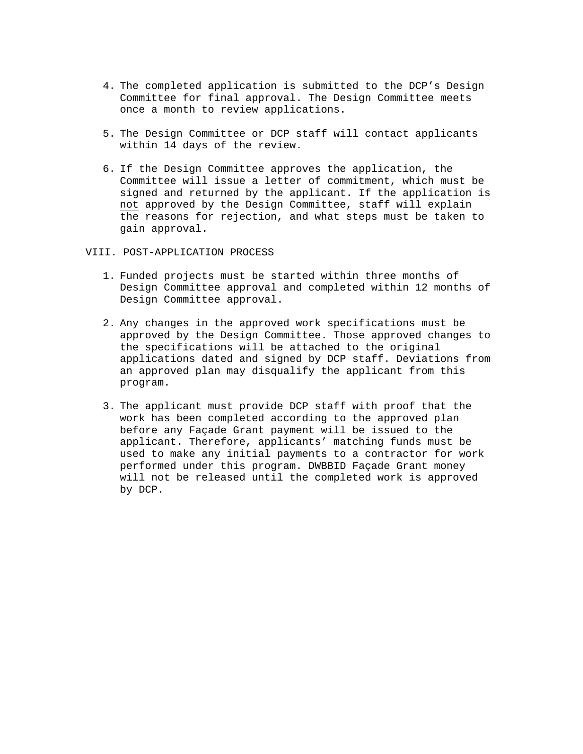- 4. The completed application is submitted to the DCP's Design Committee for final approval. The Design Committee meets once a month to review applications.
- 5. The Design Committee or DCP staff will contact applicants within 14 days of the review.
- 6. If the Design Committee approves the application, the Committee will issue a letter of commitment, which must be signed and returned by the applicant. If the application is not approved by the Design Committee, staff will explain the reasons for rejection, and what steps must be taken to gain approval.

### VIII. POST-APPLICATION PROCESS

- 1. Funded projects must be started within three months of Design Committee approval and completed within 12 months of Design Committee approval.
- 2. Any changes in the approved work specifications must be approved by the Design Committee. Those approved changes to the specifications will be attached to the original applications dated and signed by DCP staff. Deviations from an approved plan may disqualify the applicant from this program.
- 3. The applicant must provide DCP staff with proof that the work has been completed according to the approved plan before any Façade Grant payment will be issued to the applicant. Therefore, applicants' matching funds must be used to make any initial payments to a contractor for work performed under this program. DWBBID Façade Grant money will not be released until the completed work is approved by DCP.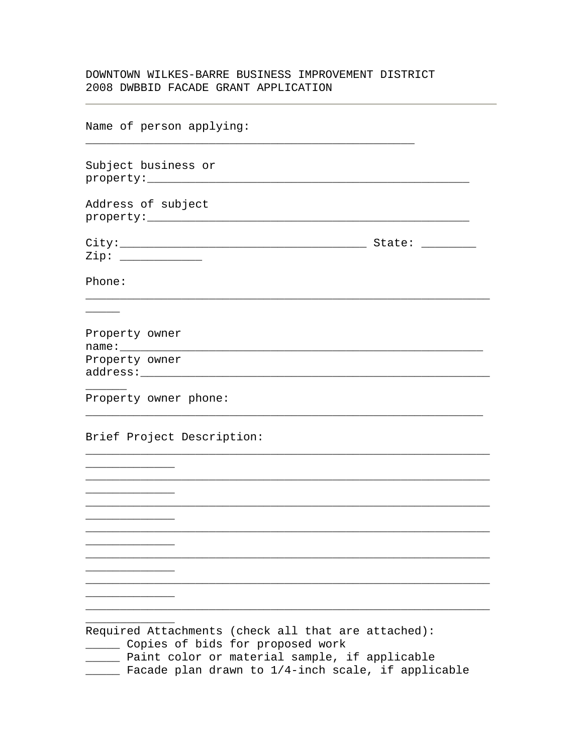# DOWNTOWN WILKES-BARRE BUSINESS IMPROVEMENT DISTRICT 2008 DWBBID FACADE GRANT APPLICATION

| Name of person applying:                                                                                                                 |
|------------------------------------------------------------------------------------------------------------------------------------------|
| Subject business or                                                                                                                      |
| Address of subject                                                                                                                       |
|                                                                                                                                          |
| Phone:                                                                                                                                   |
| $\overline{\phantom{a}}$ . The contract of $\overline{\phantom{a}}$                                                                      |
| Property owner<br>Property owner                                                                                                         |
| Property owner phone:                                                                                                                    |
| Brief Project Description:                                                                                                               |
|                                                                                                                                          |
|                                                                                                                                          |
|                                                                                                                                          |
|                                                                                                                                          |
|                                                                                                                                          |
|                                                                                                                                          |
| Required Attachments (check all that are attached):<br>Copies of bids for proposed work<br>Paint color or material sample, if applicable |

Facade plan drawn to 1/4-inch scale, if applicable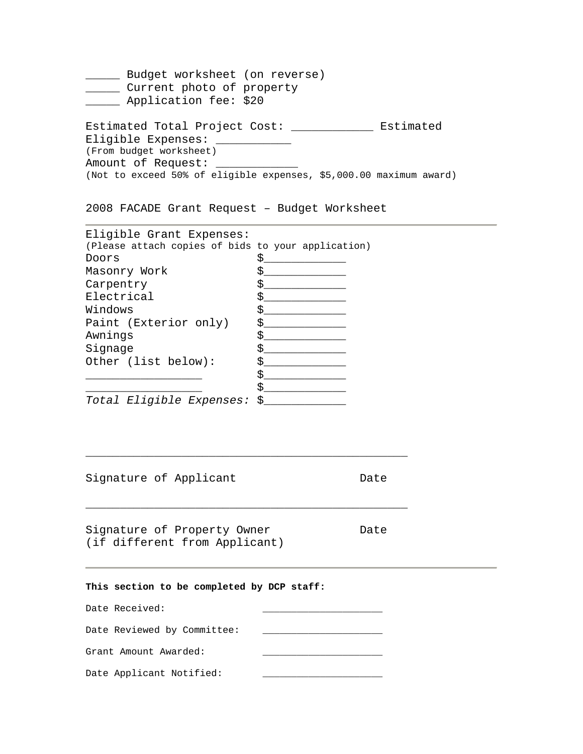| Budget worksheet (on reverse)                                      |
|--------------------------------------------------------------------|
| Current photo of property                                          |
| Application fee: \$20                                              |
|                                                                    |
| Estimated Total Project Cost:<br>Estimated                         |
| Eligible Expenses:                                                 |
| (From budget worksheet)                                            |
| Amount of Request:                                                 |
| (Not to exceed 50% of eligible expenses, \$5,000.00 maximum award) |

2008 FACADE Grant Request – Budget Worksheet

| Eligible Grant Expenses:                           |                    |
|----------------------------------------------------|--------------------|
| (Please attach copies of bids to your application) |                    |
| Doors                                              | \$                 |
| Masonry Work                                       |                    |
| Carpentry                                          |                    |
| Electrical                                         | \$                 |
| Windows                                            | \$                 |
| Paint (Exterior only)                              |                    |
| Awnings                                            | $s$ <sub>___</sub> |
| Signage                                            | Ŝ.                 |
| Other (list below):                                |                    |
|                                                    |                    |
|                                                    | \$                 |
| Total Eligible Expenses: \$                        |                    |

\_\_\_\_\_\_\_\_\_\_\_\_\_\_\_\_\_\_\_\_\_\_\_\_\_\_\_\_\_\_\_\_\_\_\_\_\_\_\_\_\_\_\_\_\_\_\_

\_\_\_\_\_\_\_\_\_\_\_\_\_\_\_\_\_\_\_\_\_\_\_\_\_\_\_\_\_\_\_\_\_\_\_\_\_\_\_\_\_\_\_\_\_\_\_

Signature of Applicant and Date

Signature of Property Owner Theory Date (if different from Applicant)

**This section to be completed by DCP staff:** 

Date Received:

Date Reviewed by Committee:

Grant Amount Awarded:

Date Applicant Notified: